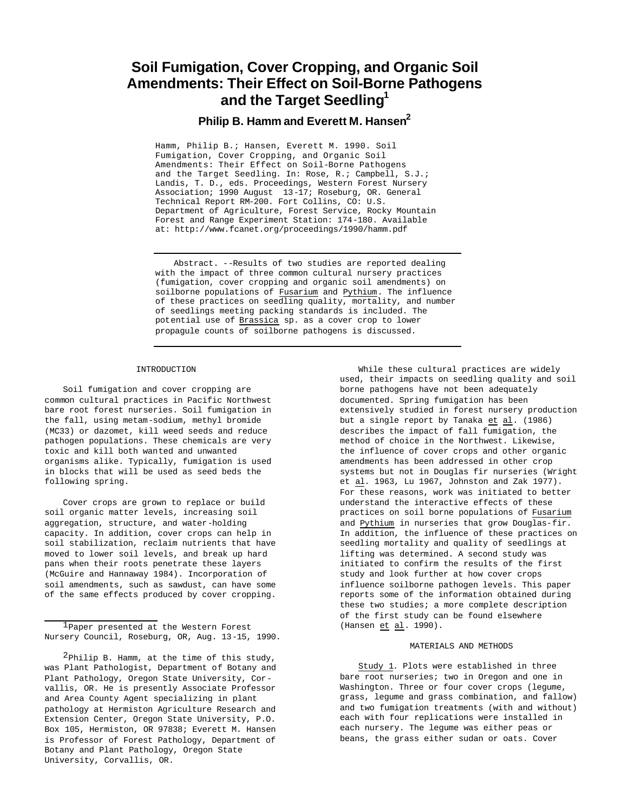# **Soil Fumigation, Cover Cropping, and Organic Soil Amendments: Their Effect on Soil-Borne Pathogens and the Target Seedling<sup>1</sup>**

# **Philip B. Hamm and Everett M. Hansen<sup>2</sup>**

Hamm, Philip B.; Hansen, Everett M. 1990. Soil Fumigation, Cover Cropping, and Organic Soil Amendments: Their Effect on Soil-Borne Pathogens and the Target Seedling. In: Rose, R.; Campbell, S.J.; Landis, T. D., eds. Proceedings, Western Forest Nursery Association; 1990 August 13-17; Roseburg, OR. General Technical Report RM-200. Fort Collins, CO: U.S. Department of Agriculture, Forest Service, Rocky Mountain Forest and Range Experiment Station: 174-180. Available at: http://www.fcanet.org/proceedings/1990/hamm.pdf

Abstract. --Results of two studies are reported dealing with the impact of three common cultural nursery practices (fumigation, cover cropping and organic soil amendments) on soilborne populations of Fusarium and Pythium. The influence of these practices on seedling quality, mortality, and number of seedlings meeting packing standards is included. The potential use of Brassica sp. as a cover crop to lower propagule counts of soilborne pathogens is discussed.

#### INTRODUCTION

Soil fumigation and cover cropping are common cultural practices in Pacific Northwest bare root forest nurseries. Soil fumigation in the fall, using metam-sodium, methyl bromide (MC33) or dazomet, kill weed seeds and reduce pathogen populations. These chemicals are very toxic and kill both wanted and unwanted organisms alike. Typically, fumigation is used in blocks that will be used as seed beds the following spring.

Cover crops are grown to replace or build soil organic matter levels, increasing soil aggregation, structure, and water-holding capacity. In addition, cover crops can help in soil stabilization, reclaim nutrients that have moved to lower soil levels, and break up hard pans when their roots penetrate these layers (McGuire and Hannaway 1984). Incorporation of soil amendments, such as sawdust, can have some of the same effects produced by cover cropping.

While these cultural practices are widely used, their impacts on seedling quality and soil borne pathogens have not been adequately documented. Spring fumigation has been extensively studied in forest nursery production but a single report by Tanaka et al. (1986) describes the impact of fall fumigation, the method of choice in the Northwest. Likewise, the influence of cover crops and other organic amendments has been addressed in other crop systems but not in Douglas fir nurseries (Wright et al. 1963, Lu 1967, Johnston and Zak 1977). For these reasons, work was initiated to better understand the interactive effects of these practices on soil borne populations of Fusarium and Pythium in nurseries that grow Douglas-fir. In addition, the influence of these practices on seedling mortality and quality of seedlings at lifting was determined. A second study was initiated to confirm the results of the first study and look further at how cover crops influence soilborne pathogen levels. This paper reports some of the information obtained during these two studies; a more complete description of the first study can be found elsewhere (Hansen et al. 1990).

#### MATERIALS AND METHODS

Study 1. Plots were established in three bare root nurseries; two in Oregon and one in Washington. Three or four cover crops (legume, grass, legume and grass combination, and fallow) and two fumigation treatments (with and without) each with four replications were installed in each nursery. The legume was either peas or beans, the grass either sudan or oats. Cover

<sup>1</sup>Paper presented at the Western Forest Nursery Council, Roseburg, OR, Aug. 13-15, 1990.

 $2$ Philip B. Hamm, at the time of this study, was Plant Pathologist, Department of Botany and Plant Pathology, Oregon State University, Corvallis, OR. He is presently Associate Professor and Area County Agent specializing in plant pathology at Hermiston Agriculture Research and Extension Center, Oregon State University, P.O. Box 105, Hermiston, OR 97838; Everett M. Hansen is Professor of Forest Pathology, Department of Botany and Plant Pathology, Oregon State University, Corvallis, OR.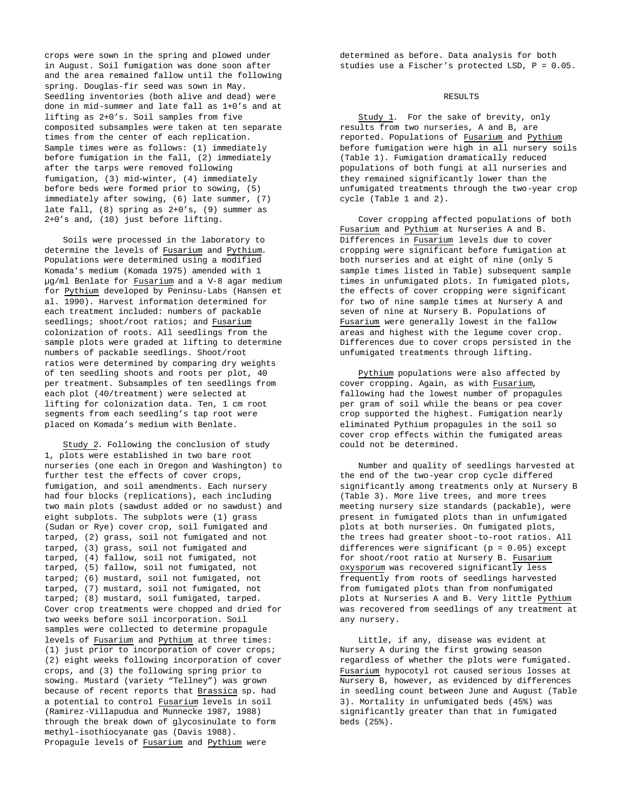crops were sown in the spring and plowed under in August. Soil fumigation was done soon after and the area remained fallow until the following spring. Douglas-fir seed was sown in May. Seedling inventories (both alive and dead) were done in mid-summer and late fall as 1+0's and at lifting as 2+0's. Soil samples from five composited subsamples were taken at ten separate times from the center of each replication. Sample times were as follows: (1) immediately before fumigation in the fall, (2) immediately after the tarps were removed following fumigation, (3) mid-winter, (4) immediately before beds were formed prior to sowing, (5) immediately after sowing, (6) late summer, (7) late fall, (8) spring as 2+0's, (9) summer as 2+0's and, (10) just before lifting.

Soils were processed in the laboratory to determine the levels of Fusarium and Pythium. Populations were determined using a modified Komada's medium (Komada 1975) amended with 1 µg/ml Benlate for Fusarium and a V-8 agar medium for Pythium developed by Peninsu-Labs (Hansen et al. 1990). Harvest information determined for each treatment included: numbers of packable seedlings; shoot/root ratios; and Fusarium colonization of roots. All seedlings from the sample plots were graded at lifting to determine numbers of packable seedlings. Shoot/root ratios were determined by comparing dry weights of ten seedling shoots and roots per plot, 40 per treatment. Subsamples of ten seedlings from each plot (40/treatment) were selected at lifting for colonization data. Ten, 1 cm root segments from each seedling's tap root were placed on Komada's medium with Benlate.

Study 2. Following the conclusion of study 1, plots were established in two bare root nurseries (one each in Oregon and Washington) to further test the effects of cover crops, fumigation, and soil amendments. Each nursery had four blocks (replications), each including two main plots (sawdust added or no sawdust) and eight subplots. The subplots were (1) grass (Sudan or Rye) cover crop, soil fumigated and tarped, (2) grass, soil not fumigated and not tarped, (3) grass, soil not fumigated and tarped, (4) fallow, soil not fumigated, not tarped, (5) fallow, soil not fumigated, not tarped; (6) mustard, soil not fumigated, not tarped, (7) mustard, soil not fumigated, not tarped; (8) mustard, soil fumigated, tarped. Cover crop treatments were chopped and dried for two weeks before soil incorporation. Soil samples were collected to determine propagule levels of Fusarium and Pythium at three times: (1) just prior to incorporation of cover crops; (2) eight weeks following incorporation of cover crops, and (3) the following spring prior to sowing. Mustard (variety "Tellney") was grown because of recent reports that Brassica sp. had a potential to control Fusarium levels in soil (Ramirez-Villapudua and Munnecke 1987, 1988) through the break down of glycosinulate to form methyl-isothiocyanate gas (Davis 1988). Propagule levels of Fusarium and Pythium were

determined as before. Data analysis for both studies use a Fischer's protected LSD, P = 0.05.

## RESULTS

Study 1. For the sake of brevity, only results from two nurseries, A and B, are reported. Populations of Fusarium and Pythium before fumigation were high in all nursery soils (Table 1). Fumigation dramatically reduced populations of both fungi at all nurseries and they remained significantly lower than the unfumigated treatments through the two-year crop cycle (Table 1 and 2).

Cover cropping affected populations of both Fusarium and Pythium at Nurseries A and B. Differences in Fusarium levels due to cover cropping were significant before fumigation at both nurseries and at eight of nine (only 5 sample times listed in Table) subsequent sample times in unfumigated plots. In fumigated plots, the effects of cover cropping were significant for two of nine sample times at Nursery A and seven of nine at Nursery B. Populations of Fusarium were generally lowest in the fallow areas and highest with the legume cover crop. Differences due to cover crops persisted in the unfumigated treatments through lifting.

Pythium populations were also affected by cover cropping. Again, as with Fusarium, fallowing had the lowest number of propagules per gram of soil while the beans or pea cover crop supported the highest. Fumigation nearly eliminated Pythium propagules in the soil so cover crop effects within the fumigated areas could not be determined.

Number and quality of seedlings harvested at the end of the two-year crop cycle differed significantly among treatments only at Nursery B (Table 3). More live trees, and more trees meeting nursery size standards (packable), were present in fumigated plots than in unfumigated plots at both nurseries. On fumigated plots, the trees had greater shoot-to-root ratios. All differences were significant (p = 0.05) except for shoot/root ratio at Nursery B. Fusarium oxysporum was recovered significantly less frequently from roots of seedlings harvested from fumigated plots than from nonfumigated plots at Nurseries A and B. Very little Pythium was recovered from seedlings of any treatment at any nursery.

Little, if any, disease was evident at Nursery A during the first growing season regardless of whether the plots were fumigated. Fusarium hypocotyl rot caused serious losses at Nursery B, however, as evidenced by differences in seedling count between June and August (Table 3). Mortality in unfumigated beds (45%) was significantly greater than that in fumigated beds (25%).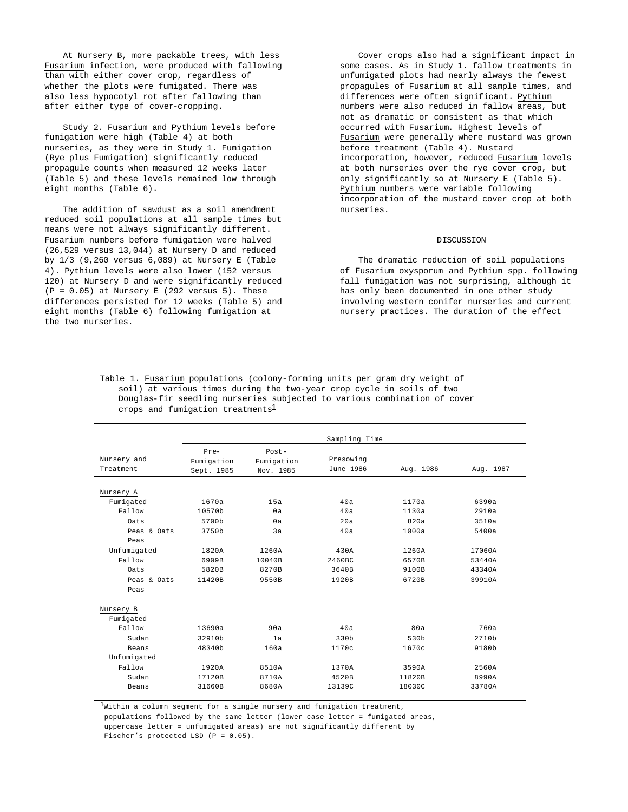At Nursery B, more packable trees, with less Fusarium infection, were produced with fallowing than with either cover crop, regardless of whether the plots were fumigated. There was also less hypocotyl rot after fallowing than after either type of cover-cropping.

Study 2. Fusarium and Pythium levels before fumigation were high (Table 4) at both nurseries, as they were in Study 1. Fumigation (Rye plus Fumigation) significantly reduced propagule counts when measured 12 weeks later (Table 5) and these levels remained low through eight months (Table 6).

The addition of sawdust as a soil amendment reduced soil populations at all sample times but means were not always significantly different. Fusarium numbers before fumigation were halved (26,529 versus 13,044) at Nursery D and reduced by 1/3 (9,260 versus 6,089) at Nursery E (Table 4). Pythium levels were also lower (152 versus 120) at Nursery D and were significantly reduced  $(P = 0.05)$  at Nursery E (292 versus 5). These differences persisted for 12 weeks (Table 5) and eight months (Table 6) following fumigation at the two nurseries.

Cover crops also had a significant impact in some cases. As in Study 1. fallow treatments in unfumigated plots had nearly always the fewest propagules of Fusarium at all sample times, and differences were often significant. Pythium numbers were also reduced in fallow areas, but not as dramatic or consistent as that which occurred with Fusarium. Highest levels of Fusarium were generally where mustard was grown before treatment (Table 4). Mustard incorporation, however, reduced Fusarium levels at both nurseries over the rye cover crop, but only significantly so at Nursery E (Table 5). Pythium numbers were variable following incorporation of the mustard cover crop at both nurseries.

## **DISCUSSION**

The dramatic reduction of soil populations of Fusarium oxysporum and Pythium spp. following fall fumigation was not surprising, although it has only been documented in one other study involving western conifer nurseries and current nursery practices. The duration of the effect

| Table 1. Fusarium populations (colony-forming units per gram dry weight of |
|----------------------------------------------------------------------------|
| soil) at various times during the two-year crop cycle in soils of two      |
| Douglas-fir seedling nurseries subjected to various combination of cover   |
| crops and fumigation treatments <sup>1</sup>                               |

|                          |                                  |                                     | Sampling Time          |           |           |
|--------------------------|----------------------------------|-------------------------------------|------------------------|-----------|-----------|
| Nursery and<br>Treatment | Pre-<br>Fumigation<br>Sept. 1985 | $Post -$<br>Fumigation<br>Nov. 1985 | Presowing<br>June 1986 | Aug. 1986 | Aug. 1987 |
|                          |                                  |                                     |                        |           |           |
| Nursery A                |                                  |                                     |                        |           |           |
| Fumigated                | 1670a                            | 15a                                 | 40a                    | 1170a     | 6390a     |
| Fallow                   | 10570b                           | 0a                                  | 40a                    | 1130a     | 2910a     |
| Oats                     | 5700b                            | 0a                                  | 20a                    | 820a      | 3510a     |
| Peas & Oats              | 3750b                            | 3a                                  | 40a                    | 1000a     | 5400a     |
| Peas                     |                                  |                                     |                        |           |           |
| Unfumigated              | 1820A                            | 1260A                               | 430A                   | 1260A     | 17060A    |
| Fallow                   | 6909B                            | 10040B                              | 2460BC                 | 6570B     | 53440A    |
| Oats                     | 5820B                            | 8270B                               | 3640B                  | 9100B     | 43340A    |
| Peas & Oats              | 11420B                           | 9550B                               | 1920B                  | 6720B     | 39910A    |
| Peas                     |                                  |                                     |                        |           |           |
| Nursery B                |                                  |                                     |                        |           |           |
| Fumigated                |                                  |                                     |                        |           |           |
| Fallow                   | 13690a                           | 90a                                 | 40a                    | 80a       | 760a      |
| Sudan                    | 32910b                           | 1a                                  | 330b                   | 530b      | 2710b     |
| Beans                    | 48340b                           | 160a                                | 1170c                  | 1670c     | 9180b     |
| Unfumigated              |                                  |                                     |                        |           |           |
| Fallow                   | 1920A                            | 8510A                               | 1370A                  | 3590A     | 2560A     |
| Sudan                    | 17120B                           | 8710A                               | 4520B                  | 11820B    | 8990A     |
| Beans                    | 31660B                           | 8680A                               | 13139C                 | 18030C    | 33780A    |

 $1$ Within a column segment for a single nursery and fumigation treatment,

 populations followed by the same letter (lower case letter = fumigated areas, uppercase letter = unfumigated areas) are not significantly different by

Fischer's protected LSD (P = 0.05).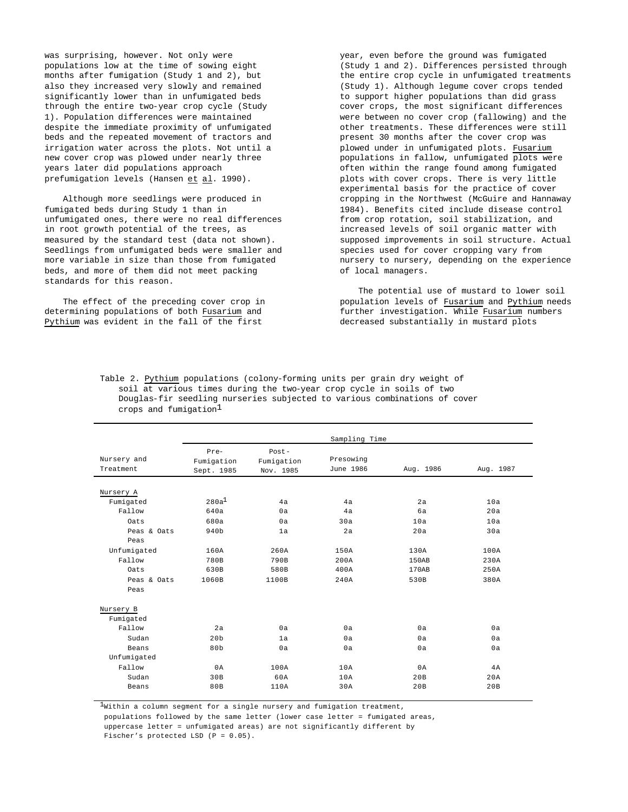was surprising, however. Not only were populations low at the time of sowing eight months after fumigation (Study 1 and 2), but also they increased very slowly and remained significantly lower than in unfumigated beds through the entire two-year crop cycle (Study 1). Population differences were maintained despite the immediate proximity of unfumigated beds and the repeated movement of tractors and irrigation water across the plots. Not until a new cover crop was plowed under nearly three years later did populations approach prefumigation levels (Hansen et al. 1990).

Although more seedlings were produced in fumigated beds during Study 1 than in unfumigated ones, there were no real differences in root growth potential of the trees, as measured by the standard test (data not shown). Seedlings from unfumigated beds were smaller and more variable in size than those from fumigated beds, and more of them did not meet packing standards for this reason.

The effect of the preceding cover crop in determining populations of both Fusarium and Pythium was evident in the fall of the first

year, even before the ground was fumigated (Study 1 and 2). Differences persisted through the entire crop cycle in unfumigated treatments (Study 1). Although legume cover crops tended to support higher populations than did grass cover crops, the most significant differences were between no cover crop (fallowing) and the other treatments. These differences were still present 30 months after the cover crop was plowed under in unfumigated plots. Fusarium populations in fallow, unfumigated plots were often within the range found among fumigated plots with cover crops. There is very little experimental basis for the practice of cover cropping in the Northwest (McGuire and Hannaway 1984). Benefits cited include disease control from crop rotation, soil stabilization, and increased levels of soil organic matter with supposed improvements in soil structure. Actual species used for cover cropping vary from nursery to nursery, depending on the experience of local managers.

The potential use of mustard to lower soil population levels of Fusarium and Pythium needs further investigation. While Fusarium numbers decreased substantially in mustard plots

| Table 2. Pythium populations (colony-forming units per grain dry weight of |
|----------------------------------------------------------------------------|
| soil at various times during the two-year crop cycle in soils of two       |
| Douglas-fir seedling nurseries subjected to various combinations of cover  |
| crops and fumigation <sup>1</sup>                                          |

|             |                    |                        | Sampling Time |           |           |
|-------------|--------------------|------------------------|---------------|-----------|-----------|
| Nursery and | Pre-<br>Fumigation | $Post -$<br>Fumigation | Presowing     |           |           |
| Treatment   | Sept. 1985         | Nov. 1985              | June 1986     | Aug. 1986 | Aug. 1987 |
|             |                    |                        |               |           |           |
| Nursery A   |                    |                        |               |           |           |
| Fumigated   | $280a^1$           | 4a                     | 4a            | 2a        | 10a       |
| Fallow      | 640a               | 0a                     | 4a            | 6a        | 20a       |
| Oats        | 680a               | 0a                     | 30a           | 10a       | 10a       |
| Peas & Oats | 940b               | 1a                     | 2a            | 20a       | 30a       |
| Peas        |                    |                        |               |           |           |
| Unfumigated | 160A               | 260A                   | 150A          | 130A      | 100A      |
| Fallow      | 780B               | 790B                   | 200A          | 150AB     | 230A      |
| Oats        | 630B               | 580B                   | 400A          | 170AB     | 250A      |
| Peas & Oats | 1060B              | 1100B                  | 240A          | 530B      | 380A      |
| Peas        |                    |                        |               |           |           |
| Nursery B   |                    |                        |               |           |           |
| Fumigated   |                    |                        |               |           |           |
| Fallow      | 2a                 | 0a                     | 0a            | 0a        | 0a        |
| Sudan       | 20 <sub>b</sub>    | 1a                     | 0a            | 0a        | 0a        |
| Beans       | 80 <sub>b</sub>    | 0a                     | 0a            | 0a        | 0a        |
| Unfumigated |                    |                        |               |           |           |
| Fallow      | 0A                 | 100A                   | 10A           | 0A        | 4A        |
| Sudan       | 30B                | 60A                    | 10A           | 20B       | 20A       |
| Beans       | 80B                | 110A                   | 30A           | 20B       | 20B       |

 $1$ Within a column segment for a single nursery and fumigation treatment,

populations followed by the same letter (lower case letter = fumigated areas,

uppercase letter = unfumigated areas) are not significantly different by

Fischer's protected LSD (P = 0.05).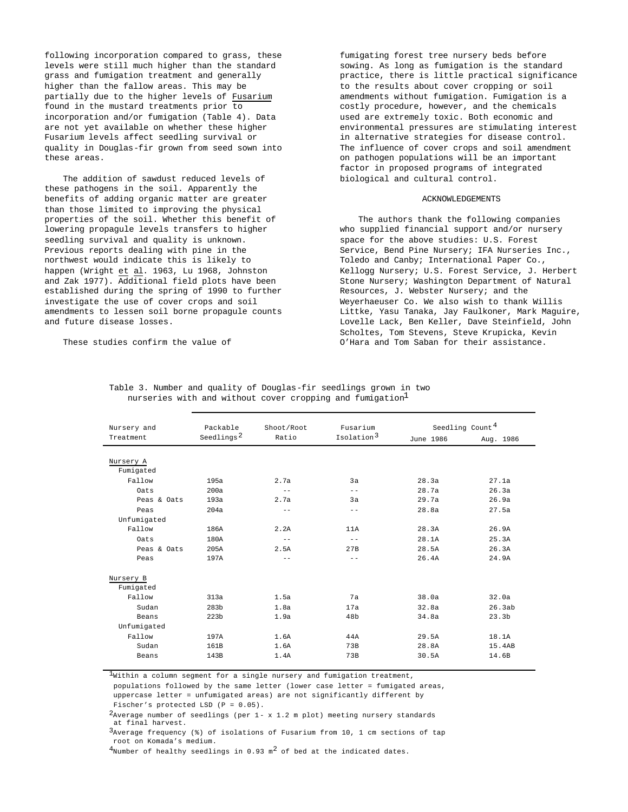following incorporation compared to grass, these levels were still much higher than the standard grass and fumigation treatment and generally higher than the fallow areas. This may be partially due to the higher levels of Fusarium found in the mustard treatments prior to incorporation and/or fumigation (Table 4). Data are not yet available on whether these higher Fusarium levels affect seedling survival or quality in Douglas-fir grown from seed sown into these areas.

The addition of sawdust reduced levels of these pathogens in the soil. Apparently the benefits of adding organic matter are greater than those limited to improving the physical properties of the soil. Whether this benefit of lowering propagule levels transfers to higher seedling survival and quality is unknown. Previous reports dealing with pine in the northwest would indicate this is likely to happen (Wright et al. 1963, Lu 1968, Johnston and Zak 1977). Additional field plots have been established during the spring of 1990 to further investigate the use of cover crops and soil amendments to lessen soil borne propagule counts and future disease losses.

These studies confirm the value of

fumigating forest tree nursery beds before sowing. As long as fumigation is the standard practice, there is little practical significance to the results about cover cropping or soil amendments without fumigation. Fumigation is a costly procedure, however, and the chemicals used are extremely toxic. Both economic and environmental pressures are stimulating interest in alternative strategies for disease control. The influence of cover crops and soil amendment on pathogen populations will be an important factor in proposed programs of integrated biological and cultural control.

#### ACKNOWLEDGEMENTS

The authors thank the following companies who supplied financial support and/or nursery space for the above studies: U.S. Forest Service, Bend Pine Nursery; IFA Nurseries Inc., Toledo and Canby; International Paper Co., Kellogg Nursery; U.S. Forest Service, J. Herbert Stone Nursery; Washington Department of Natural Resources, J. Webster Nursery; and the Weyerhaeuser Co. We also wish to thank Willis Littke, Yasu Tanaka, Jay Faulkoner, Mark Maguire, Lovelle Lack, Ben Keller, Dave Steinfield, John Scholtes, Tom Stevens, Steve Krupicka, Kevin O'Hara and Tom Saban for their assistance.

| Nursery and<br>Treatment | Packable<br>Seedlings <sup>2</sup> | Shoot/Root<br>Ratio | Fusarium<br>Isolation <sup>3</sup> | June 1986 | Seedling Count <sup>4</sup><br>Aug. 1986 |
|--------------------------|------------------------------------|---------------------|------------------------------------|-----------|------------------------------------------|
|                          |                                    |                     |                                    |           |                                          |
| Nursery A<br>Fumigated   |                                    |                     |                                    |           |                                          |
| Fallow                   | 195a                               | 2.7a                | 3a                                 | 28.3a     | 27.1a                                    |
| Oats                     | 200a                               | $-$                 | $- -$                              | 28.7a     | 26.3a                                    |
| Peas & Oats              | 193a                               | 2.7a                | 3a                                 | 29.7a     | 26.9a                                    |
| Peas                     | 204a                               | $-$                 | $- -$                              | 28.8a     | 27.5a                                    |
| Unfumigated              |                                    |                     |                                    |           |                                          |
| Fallow                   | 186A                               | 2.2A                | 11A                                | 28.3A     | 26.9A                                    |
| Oats                     | 180A                               | $-$                 | $=$ $-$                            | 28.1A     | 25.3A                                    |
| Peas & Oats              | 205A                               | 2.5A                | 27B                                | 28.5A     | 26.3A                                    |
| Peas                     | 197A                               | $-$                 | $-$                                | 26.4A     | 24.9A                                    |
|                          |                                    |                     |                                    |           |                                          |
| Nursery B                |                                    |                     |                                    |           |                                          |
| Fumigated                |                                    |                     |                                    |           |                                          |
| Fallow                   | 313a                               | 1.5a                | 7a                                 | 38.0a     | 32.0a                                    |
| Sudan                    | 283b                               | 1.8a                | 17a                                | 32.8a     | 26.3ab                                   |
| Beans                    | 223 <sub>b</sub>                   | 1.9a                | 48b                                | 34.8a     | 23.3 <sub>b</sub>                        |
| Unfumigated              |                                    |                     |                                    |           |                                          |
| Fallow                   | 197A                               | 1.6A                | 44A                                | 29.5A     | 18.1A                                    |
| Sudan                    | 161B                               | 1.6A                | 73B                                | 28.8A     | 15.4AB                                   |
| Beans                    | 143B                               | 1.4A                | 73B                                | 30.5A     | 14.6B                                    |
|                          |                                    |                     |                                    |           |                                          |

Table 3. Number and quality of Douglas-fir seedlings grown in two nurseries with and without cover cropping and  $f$ umigation $\perp$ 

 $^{\text{1}}$ Within a column segment for a single nursery and fumigation treatment,

 populations followed by the same letter (lower case letter = fumigated areas, uppercase letter = unfumigated areas) are not significantly different by

Fischer's protected LSD (P = 0.05).

 $2$ Average number of seedlings (per 1- x 1.2 m plot) meeting nursery standards at final harvest.

 $3$ Average frequency (%) of isolations of Fusarium from 10, 1 cm sections of tap root on Komada's medium.

 $^4$ Number of healthy seedlings in 0.93 m<sup>2</sup> of bed at the indicated dates.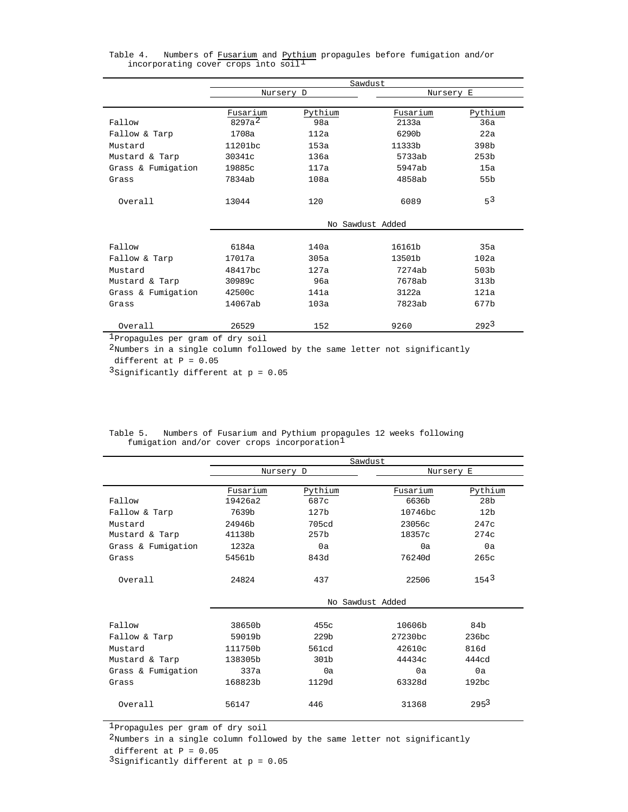|                    | Sawdust          |         |           |                  |
|--------------------|------------------|---------|-----------|------------------|
|                    | Nursery D        |         | Nursery E |                  |
|                    |                  |         |           |                  |
|                    | Fusarium         | Pythium | Fusarium  | Pythium          |
| Fallow             | $8297a^2$        | 98a     | 2133a     | 36a              |
| Fallow & Tarp      | 1708a            | 112a    | 6290b     | 22a              |
| Mustard            | 11201bc          | 153a    | 11333b    | 398b             |
| Mustard & Tarp     | 30341c           | 136a    | 5733ab    | 253 <sub>b</sub> |
| Grass & Fumigation | 19885c           | 117a    | 5947ab    | 15a              |
| Grass              | 7834ab           | 108a    | 4858ab    | 55 <sub>b</sub>  |
|                    |                  |         |           |                  |
| Overall            | 13044            | 120     | 6089      | 53               |
|                    |                  |         |           |                  |
|                    | No Sawdust Added |         |           |                  |
|                    |                  |         |           |                  |
| Fallow             | 6184a            | 140a    | 16161b    | 35a              |
| Fallow & Tarp      | 17017a           | 305a    | 13501b    | 102a             |
| Mustard            | 48417bc          | 127a    | 7274ab    | 503 <sub>b</sub> |
| Mustard & Tarp     | 30989c           | 9ба     | 7678ab    | 313 <sub>b</sub> |
| Grass & Fumigation | 42500c           | 141a    | 3122a     | 121a             |
| Grass              | 14067ab          | 103a    | 7823ab    | 677b             |
|                    |                  |         |           |                  |
| Overall            | 26529            | 152     | 9260      | 292 <sup>3</sup> |

Table 4. Numbers of <u>Fusarium</u> and <u>Pythium</u> propagules before fumigation and/or<br>incorporating cover crops into soil<sup>l</sup>

1Propagules per gram of dry soil

2Numbers in a single column followed by the same letter not significantly different at  $P = 0.05$ 

3Significantly different at  $p = 0.05$ 

|                    | Sawdust   |                  |                  |                  |
|--------------------|-----------|------------------|------------------|------------------|
|                    | Nursery D |                  | Nursery E        |                  |
|                    |           |                  |                  |                  |
|                    | Fusarium  | Pythium          | Fusarium         | Pythium          |
| Fallow             | 19426a2   | 687c             | 6636b            | 28 <sub>b</sub>  |
| Fallow & Tarp      | 7639b     | 127 <sub>b</sub> | 10746bc          | 12 <sub>b</sub>  |
| Mustard            | 24946b    | 705cd            | 23056c           | 247c             |
| Mustard & Tarp     | 41138b    | 257b             | 18357c           | 274c             |
| Grass & Fumigation | 1232a     | 0a               | 0a               | 0a               |
| Grass              | 54561b    | 843d             | 76240d           | 265c             |
|                    |           |                  |                  |                  |
| Overall            | 24824     | 437              | 22506            | 154 <sup>3</sup> |
|                    |           |                  |                  |                  |
|                    |           |                  | No Sawdust Added |                  |
|                    |           |                  |                  |                  |
| Fallow             | 38650b    | 455c             | 10606b           | 84b              |
| Fallow & Tarp      | 59019b    | 229 <sub>b</sub> | 27230bc          | 236bc            |
| Mustard            | 111750b   | 561cd            | 42610c           | 816d             |
| Mustard & Tarp     | 138305b   | 301b             | 44434c           | 444cd            |
| Grass & Fumigation | 337a      | 0a               | 0a               | 0a               |
| Grass              | 168823b   | 1129d            | 63328d           | $192$ bc         |
|                    |           |                  |                  |                  |
| Overall            | 56147     | 446              | 31368            | $295^3$          |
|                    |           |                  |                  |                  |

Table 5. Numbers of Fusarium and Pythium propagules 12 weeks following<br>fumigation and/or cover crops incorporation<sup>1</sup>

1Propagules per gram of dry soil

2Numbers in a single column followed by the same letter not significantly

different at  $P = 0.05$ 

3Significantly different at  $p = 0.05$